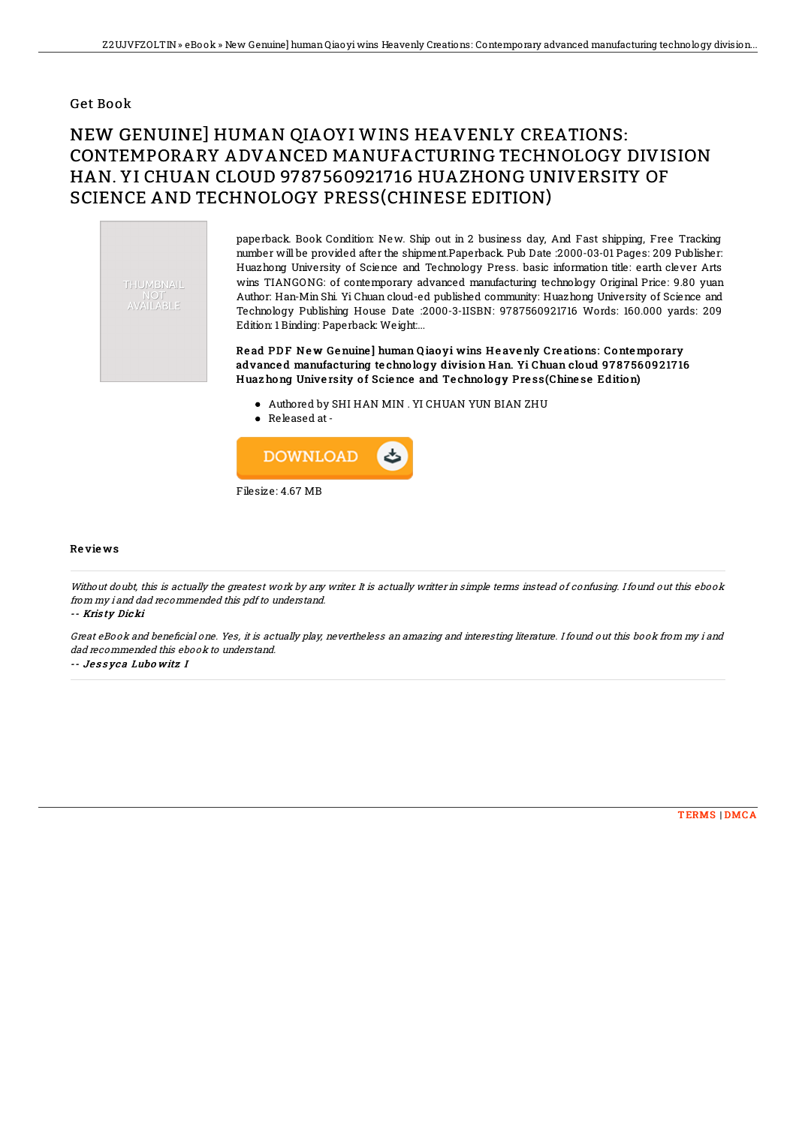### Get Book

# NEW GENUINE] HUMAN QIAOYI WINS HEAVENLY CREATIONS: CONTEMPORARY ADVANCED MANUFACTURING TECHNOLOGY DIVISION HAN. YI CHUAN CLOUD 9787560921716 HUAZHONG UNIVERSITY OF SCIENCE AND TECHNOLOGY PRESS(CHINESE EDITION)



paperback. Book Condition: New. Ship out in 2 business day, And Fast shipping, Free Tracking number will be provided after the shipment.Paperback. Pub Date :2000-03-01 Pages: 209 Publisher: Huazhong University of Science and Technology Press. basic information title: earth clever Arts wins TIANGONG: of contemporary advanced manufacturing technology Original Price: 9.80 yuan Author: Han-Min Shi. Yi Chuan cloud-ed published community: Huazhong University of Science and Technology Publishing House Date :2000-3-1ISBN: 9787560921716 Words: 160.000 yards: 209 Edition: 1 Binding: Paperback: Weight:...

Read PDF New Genuine] human Qiao yi wins Heavenly Creations: Contemporary advanced manufacturing technology division Han. Yi Chuan cloud 9787560921716 Huaz hong University of Science and Technology Press(Chinese Edition)

- Authored by SHI HAN MIN . YI CHUAN YUN BIAN ZHU
- Released at-



#### Re vie ws

Without doubt, this is actually the greatest work by any writer. It is actually writter in simple terms instead of confusing. I found out this ebook from my i and dad recommended this pdf to understand.

#### -- Kris ty Dicki

Great eBook and beneficial one. Yes, it is actually play, nevertheless an amazing and interesting literature. I found out this book from my i and dad recommended this ebook to understand.

-- Jessyca Lubowitz I